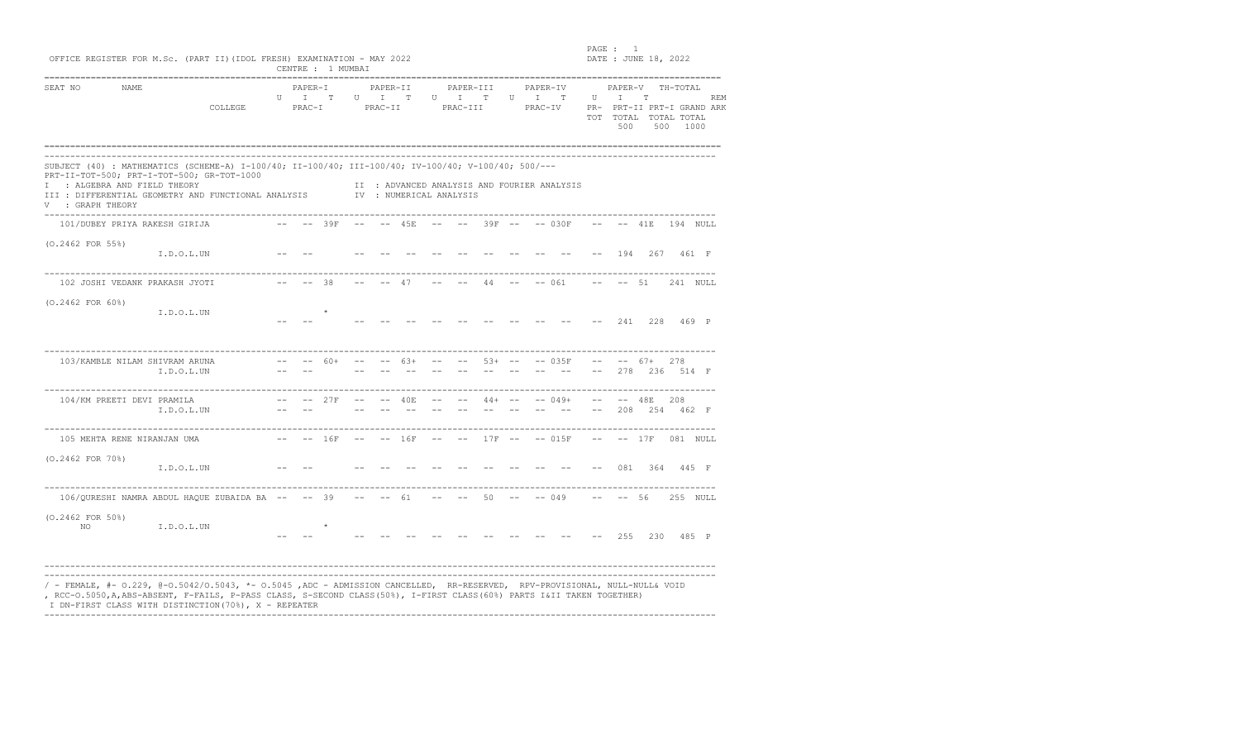|                                                  |                                                                                                                                                                                                                                  |              |                                      |               | CENTRE : 1 MUMBAI    |                            | OFFICE REGISTER FOR M.Sc. (PART II) (IDOL FRESH) EXAMINATION - MAY 2022 |              |                                                                                                            |           |                                |                                             |              | DATE : JUNE 18, 2022 |                                                                              |           |       |
|--------------------------------------------------|----------------------------------------------------------------------------------------------------------------------------------------------------------------------------------------------------------------------------------|--------------|--------------------------------------|---------------|----------------------|----------------------------|-------------------------------------------------------------------------|--------------|------------------------------------------------------------------------------------------------------------|-----------|--------------------------------|---------------------------------------------|--------------|----------------------|------------------------------------------------------------------------------|-----------|-------|
| SEAT NO<br>NAME                                  | COLLEGE                                                                                                                                                                                                                          | $\mathbf{U}$ | PAPER-I<br>$\mathbb{I}$<br>$PRACT-I$ | T             |                      | PAPER-II<br>U I<br>PRAC-II | T                                                                       | $\mathbf{U}$ | PAPER-III<br>$\mathbb{I}$<br>PRAC-III                                                                      | T         | PAPER-IV<br>$U$ $I$<br>PRAC-IV | T                                           | $\mathbf{U}$ | I.<br>500            | PAPER-V TH-TOTAL<br>T<br>PR- PRT-II PRT-I GRAND ARK<br>TOT TOTAL TOTAL TOTAL | 500 1000  | REM   |
| I : ALGEBRA AND FIELD THEORY<br>V : GRAPH THEORY | SUBJECT (40) : MATHEMATICS (SCHEME-A) I-100/40; II-100/40; III-100/40; IV-100/40; V-100/40; 500/---<br>PRT-II-TOT-500; PRT-I-TOT-500; GR-TOT-1000<br>III : DIFFERENTIAL GEOMETRY AND FUNCTIONAL ANALYSIS TV : NUMERICAL ANALYSIS |              |                                      |               |                      |                            |                                                                         |              |                                                                                                            |           |                                | II : ADVANCED ANALYSIS AND FOURIER ANALYSIS |              |                      |                                                                              |           |       |
| 101/DUBEY PRIYA RAKESH GIRIJA                    | $- --$ 39F $- -45F$ $- --$ 39F $- --$ 030F                                                                                                                                                                                       |              |                                      |               |                      |                            |                                                                         |              |                                                                                                            |           |                                |                                             | $--$         |                      | $-- 41F$                                                                     | 194 NULL  |       |
| $(0.2462$ FOR 55%)                               | I.D.O.L.UN                                                                                                                                                                                                                       |              |                                      |               |                      |                            |                                                                         |              |                                                                                                            |           |                                |                                             |              | 194                  | 267                                                                          |           | 461 F |
| 102 JOSHI VEDANK PRAKASH JYOTI                   | $--$ 38                                                                                                                                                                                                                          |              |                                      |               |                      |                            | $--- 47$                                                                |              |                                                                                                            |           |                                | $--- 44 --- 061 --- 51$                     |              |                      |                                                                              | 241 NULL  |       |
| $(0.2462$ FOR $60\$ )                            | I.D.O.L.UN                                                                                                                                                                                                                       |              |                                      |               |                      |                            |                                                                         |              |                                                                                                            |           |                                |                                             |              | 241                  | 228                                                                          |           | 469 P |
| 103/KAMBLE NILAM SHIVRAM ARUNA                   | I.D.O.L.UN                                                                                                                                                                                                                       |              |                                      | $60+$         |                      |                            | $6.3+$                                                                  |              |                                                                                                            | $53+ - -$ |                                | $-- 035F$                                   | $- -$        |                      | $-- 67+$<br>278 236 514 F                                                    | 278       |       |
| 104/KM PREETI DEVI PRAMILA                       | I.D.O.L.UN                                                                                                                                                                                                                       | $- -$        | $--- 27F$                            |               | $\sim 100$ m $^{-1}$ |                            |                                                                         |              | $--$ 40E -- -- 44+ -- -- 049+                                                                              |           |                                |                                             | $ -$         |                      | $--- 48E$<br>208 254 462 F                                                   | 208       |       |
| 105 MEHTA RENE NIRANJAN UMA                      |                                                                                                                                                                                                                                  |              | $-- -- 16F$                          |               | $- \,$               |                            | $-- 16F$                                                                |              |                                                                                                            |           |                                | $17F$ -- -- 015F                            | $--$         |                      | $-- 17F 081 NUL$                                                             |           |       |
| $(0.2462$ FOR $70\$ )                            | I.D.O.L.UN                                                                                                                                                                                                                       |              |                                      |               |                      |                            |                                                                         |              |                                                                                                            |           |                                |                                             |              | 081                  |                                                                              | 364 445 F |       |
|                                                  | 106/QURESHI NAMRA ABDUL HAQUE ZUBAIDA BA -- -- 39 -- -- 61                                                                                                                                                                       |              |                                      |               |                      |                            |                                                                         |              | $\mathcal{L}(\mathcal{L}) = \mathcal{L}(\mathcal{L}(\mathcal{L})) = \mathcal{L}(\mathcal{L}(\mathcal{L}))$ |           |                                | $50 - - - 049$                              |              | $-- - - 56$          |                                                                              | 255 NULL  |       |
| $(0.2462$ FOR $50\$ )<br>NO.                     | I.D.O.L.UN                                                                                                                                                                                                                       |              |                                      | $\rightarrow$ |                      |                            |                                                                         |              |                                                                                                            |           |                                |                                             |              | 255                  | 230                                                                          | 485 P     |       |

----------------------------------------------------------------------------------------------------------------------------------

en and the set of the set of the set of the set of the set of the set of the set of the set of the set of the set of the set of the set of the set of the set of the set of the set of the set of the set of the set of the se

I DN-FIRST CLASS WITH DISTINCTION(70%), X - REPEATER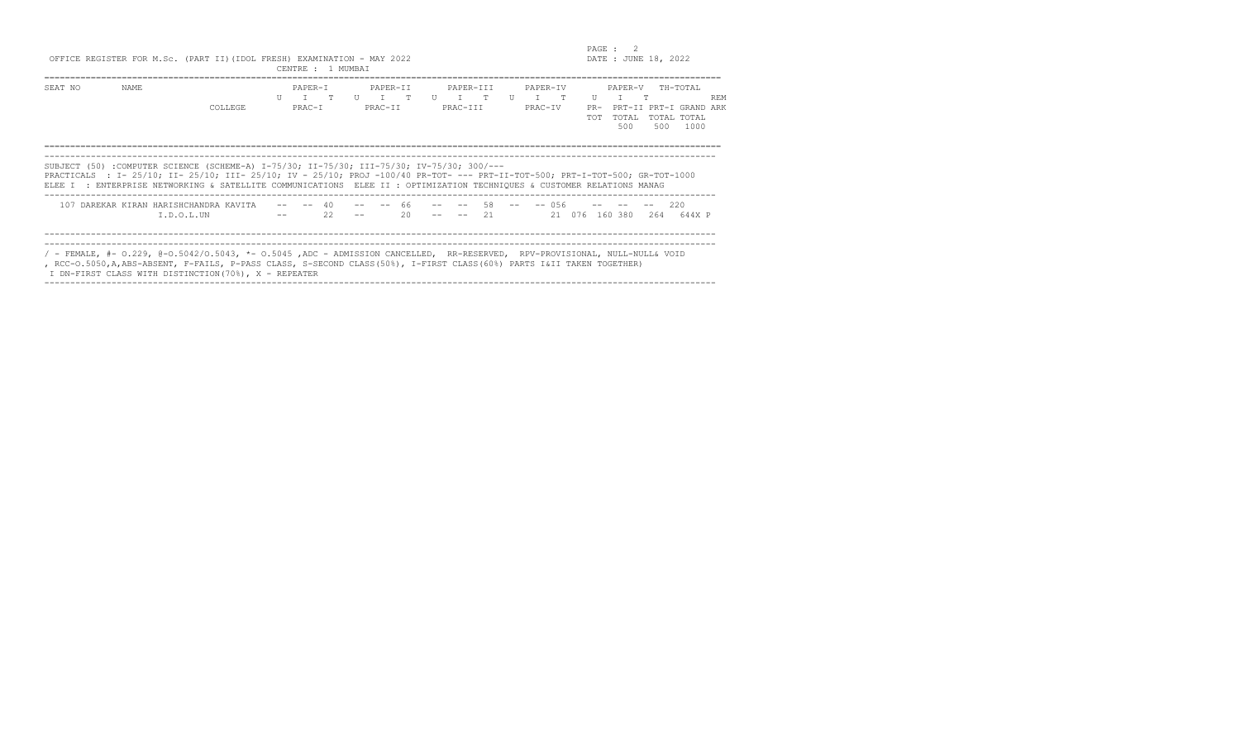|         |       | OFFICE REGISTER FOR M.Sc. (PART II) (IDOL FRESH) EXAMINATION - MAY 2022                                                                                                                                                                                                                                                                              |                                              | CENTRE : 1 MUMBAI |                        |          |                                      |  |                                                                          |                                     | PAGE : 2 |                              | DATE : JUNE 18, 2022 |                                                           |            |
|---------|-------|------------------------------------------------------------------------------------------------------------------------------------------------------------------------------------------------------------------------------------------------------------------------------------------------------------------------------------------------------|----------------------------------------------|-------------------|------------------------|----------|--------------------------------------|--|--------------------------------------------------------------------------|-------------------------------------|----------|------------------------------|----------------------|-----------------------------------------------------------|------------|
| SEAT NO | NAME. | <b>COLLEGE</b>                                                                                                                                                                                                                                                                                                                                       | PAPER-T<br>$\Pi$ $\Pi$ $\Pi$ $\Pi$<br>PRAC-T |                   | $U$ $T$ $T$<br>PRAC-TT | PAPER-TT | PAPER-TTT<br>$U$ $T$ $T$<br>PRAC-TTT |  | PAPER-TV<br>$\mathbf{U}$ $\mathbf{T}$ $\mathbf{T}$<br>PRAC-TV            | $\mathbf{H}$<br>$PR-$<br><b>TOT</b> | T        | PAPER-V<br>T<br>TOTAL<br>500 | 500                  | TH-TOTAL<br>PRT-II PRT-I GRAND ARK<br>TOTAL TOTAL<br>1000 | <b>REM</b> |
|         |       | SUBJECT (50) :COMPUTER SCIENCE (SCHEME-A) I-75/30; II-75/30; III-75/30; IV-75/30; 300/---<br>PRACTICALS : I- 25/10; II- 25/10; III- 25/10; IV - 25/10; PROJ -100/40 PR-TOT- --- PRT-II-TOT-500; PRT-I-TOT-500; GR-TOT-1000<br>ELEE I : ENTERPRISE NETWORKING & SATELLITE COMMUNICATIONS ELEE II : OPTIMIZATION TECHNIQUES & CUSTOMER RELATIONS MANAG |                                              |                   |                        |          |                                      |  |                                                                          |                                     |          |                              |                      |                                                           |            |
|         |       | 107 DAREKAR KIRAN HARISHCHANDRA KAVITA<br>I.D.O.L.UN                                                                                                                                                                                                                                                                                                 |                                              | $- -$ 40<br>22    |                        | $20 -$   | $-- - - 21$                          |  | $- --$ 66 $- --$ 58 $- --$ 056 $- - --$ 220<br>21 076 160 380 264 644X P |                                     |          |                              |                      |                                                           |            |
|         |       | / - FEMALE, #- 0.229, @-0.5042/0.5043, *- 0.5045, ADC - ADMISSION CANCELLED, RR-RESERVED, RPV-PROVISIONAL, NULL-NULL& VOID<br>, RCC-O.5050,A,ABS-ABSENT, F-FAILS, P-PASS CLASS, S-SECOND CLASS(50%), I-FIRST CLASS(60%) PARTS I&II TAKEN TOGETHER)<br>I DN-FIRST CLASS WITH DISTINCTION(70%), X - REPEATER                                           |                                              |                   |                        |          |                                      |  |                                                                          |                                     |          |                              |                      |                                                           |            |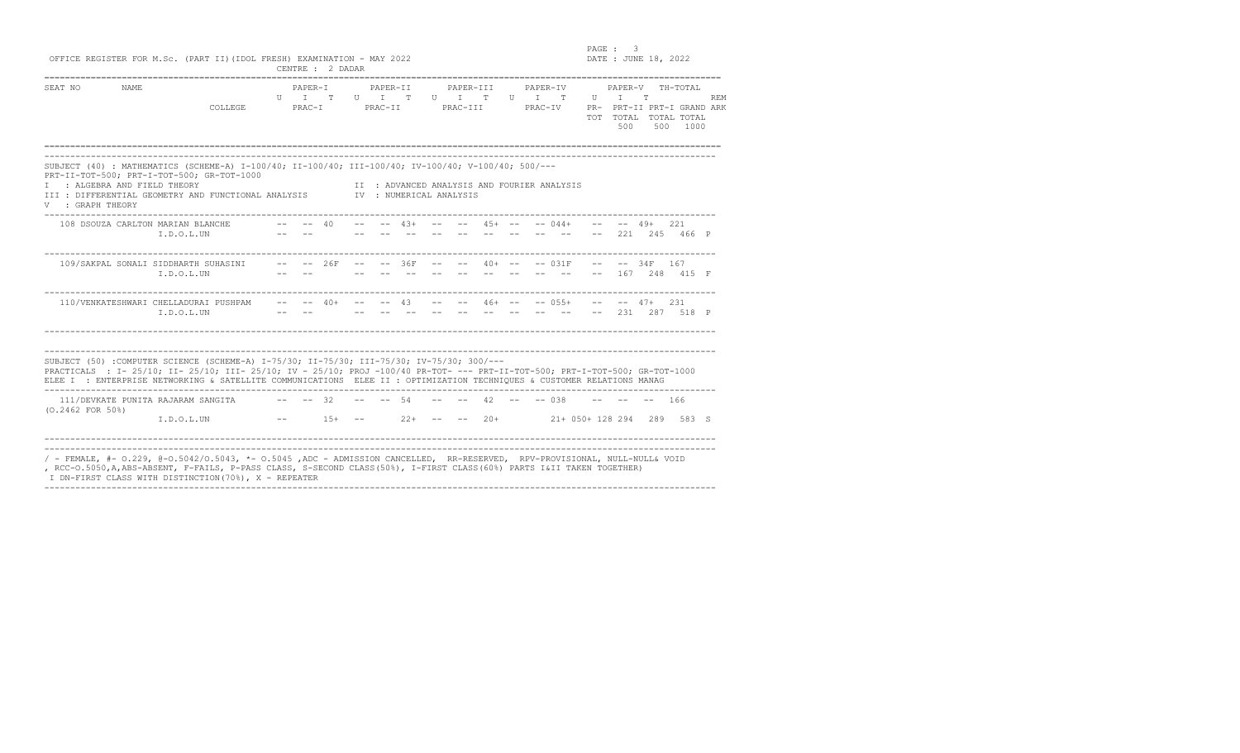|                                                  |                                                    | OFFICE REGISTER FOR M.Sc. (PART II) (IDOL FRESH) EXAMINATION - MAY 2022                                                                                                                                                                                                                                                                              |           |                                  | CENTRE : 2 DADAR                              |                                    |               |                 |                       |                                             |                                    |  | PAGE : 3                                    |                   | DATE : JUNE 18, 2022                                                           |            |
|--------------------------------------------------|----------------------------------------------------|------------------------------------------------------------------------------------------------------------------------------------------------------------------------------------------------------------------------------------------------------------------------------------------------------------------------------------------------------|-----------|----------------------------------|-----------------------------------------------|------------------------------------|---------------|-----------------|-----------------------|---------------------------------------------|------------------------------------|--|---------------------------------------------|-------------------|--------------------------------------------------------------------------------|------------|
| SEAT NO                                          | NAME                                               | COLLEGE.                                                                                                                                                                                                                                                                                                                                             |           | PAPER-T<br>$U$ $T$ $T$<br>PRAC-T |                                               | PAPER-II<br>$U$ $T$ $T$<br>PRAC-II |               |                 | PAPER-III<br>PRAC-III | $\mathbf{U}$ $\mathbf{T}$ $\mathbf{T}$      | PAPER-IV<br>$U$ $T$ $T$<br>PRAC-TV |  | PAPER-V<br>$\mathbf{U}$ $\mathbf{U}$<br>500 | T                 | TH-TOTAL<br>PR- PRT-II PRT-I GRAND ARK<br>TOT TOTAL TOTAL TOTAL<br>500<br>1000 | <b>REM</b> |
| I : ALGEBRA AND FIELD THEORY<br>V : GRAPH THEORY |                                                    | SUBJECT (40) : MATHEMATICS (SCHEME-A) I-100/40; II-100/40; III-100/40; IV-100/40; V-100/40; 500/---<br>PRT-II-TOT-500; PRT-I-TOT-500; GR-TOT-1000<br>III : DIFFERENTIAL GEOMETRY AND FUNCTIONAL ANALYSIS TWP: NUMERICAL ANALYSIS                                                                                                                     |           |                                  |                                               |                                    |               |                 |                       | II : ADVANCED ANALYSIS AND FOURIER ANALYSIS |                                    |  |                                             |                   |                                                                                |            |
|                                                  | 108 DSOUZA CARLTON MARIAN BLANCHE<br>I.D.O.L.UN    |                                                                                                                                                                                                                                                                                                                                                      |           | $- --$ 40                        |                                               |                                    | $--$ 43+ $--$ |                 |                       | $--$ 45+ $--$ 044+                          |                                    |  |                                             | $-- - - 49 + 221$ | 221 245 466 P                                                                  |            |
|                                                  | 109/SAKPAL SONALI SIDDHARTH SUHASINI<br>I.D.O.L.UN |                                                                                                                                                                                                                                                                                                                                                      |           |                                  | $-- - - 26F - - - - 36F$                      |                                    | $- -$         | $ -$            | $ -$                  | $40+ - - - - 031F$                          |                                    |  | $- -$                                       | $-- - - 34F$ 167  | 167 248 415 F                                                                  |            |
|                                                  | $T.D.O.I.$ UN                                      | 110/VENKATESHWARI CHELLADURAI PUSHPAM                                                                                                                                                                                                                                                                                                                |           |                                  | -- -- $40+$ -- -- $43$ -- -- $46+$ -- -- 055+ |                                    |               |                 |                       |                                             |                                    |  |                                             | $- --$ 47+ 2.31   | $--$ 2.31 2.87 518 P                                                           |            |
|                                                  |                                                    | SUBJECT (50) :COMPUTER SCIENCE (SCHEME-A) I-75/30; II-75/30; III-75/30; IV-75/30; 300/---<br>PRACTICALS : I- 25/10; II- 25/10; III- 25/10; IV - 25/10; PROJ -100/40 PR-TOT- --- PRT-II-TOT-500; PRT-I-TOT-500; GR-TOT-1000<br>ELEE I : ENTERPRISE NETWORKING & SATELLITE COMMUNICATIONS ELEE II : OPTIMIZATION TECHNIOUES & CUSTOMER RELATIONS MANAG |           |                                  |                                               |                                    |               |                 |                       |                                             |                                    |  |                                             |                   |                                                                                |            |
| $(0.2462$ FOR $50\%$ )                           | 111/DEVKATE PUNITA RAJARAM SANGITA<br>I.D.O.L.UN   |                                                                                                                                                                                                                                                                                                                                                      | $- --$ 32 |                                  | $--$ 1.5+ $--$                                | $- --$ 54                          |               | $22+ - - - - -$ |                       | $42 - - - 038$                              |                                    |  |                                             |                   | $-- 166$<br>20+ 21+ 050+ 128 294 289 583 S                                     |            |

, RCC-O.5050,A,ABS-ABSENT, F-FAILS, P-PASS CLASS, S-SE<br>I DN-FIRST CLASS WITH DISTINCTION(70%), X - REPEATER ----------------------------------------------------------------------------------------------------------------------------------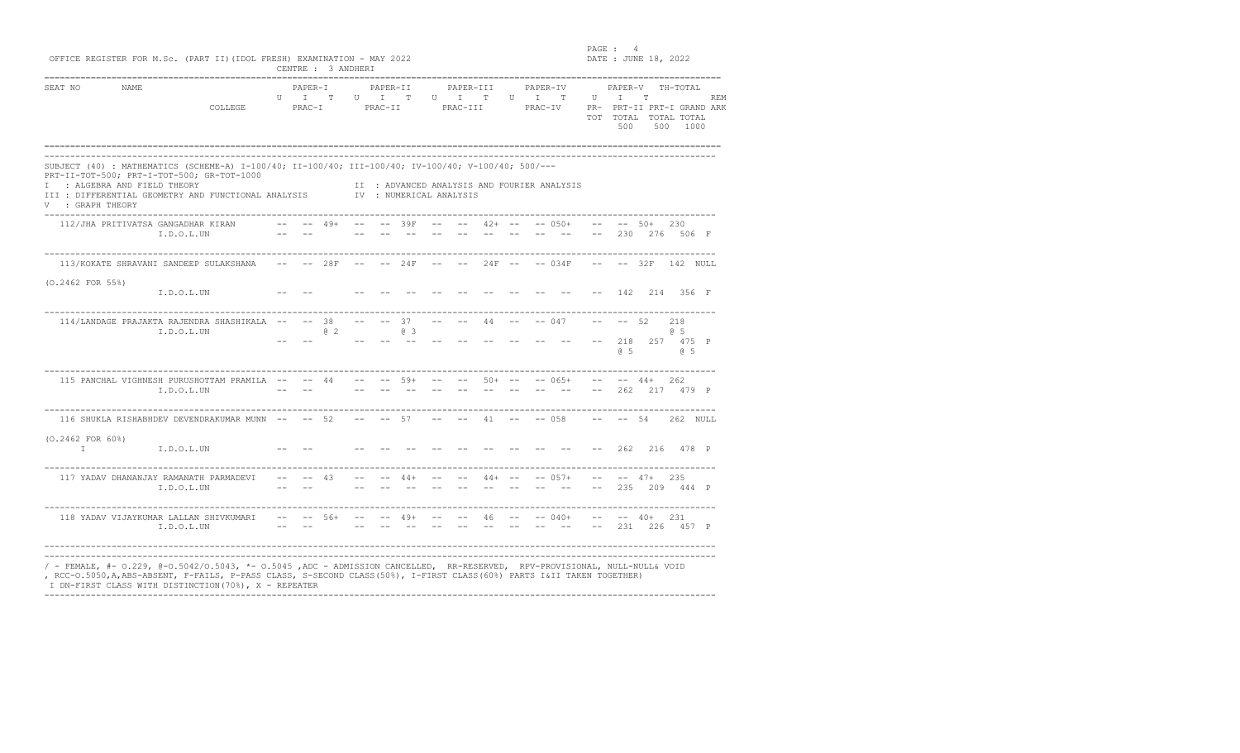PAGE : 4<br>
OFFICE REGISTER FOR M.Sc. (PART II)(IDOL FRESH) EXAMINATION - MAY 2022

| SEAT NO                               | NAME                               | COLLEGE                                                                                                                                                                                                  |               | PAPER-I<br>U I<br>PRAC-I | T.    | U I          | PAPER-II<br>PRAC-II | T                       |      | PAPER-III<br>U I<br>PRAC-III               | T                                                                                          |         | PAPER-IV<br>$U$ T<br>PRAC-IV | T                                           | $\mathbf{U}$  | PAPER-V<br>T<br>500              | T.<br>500         | TH-TOTAL<br>PR- PRT-II PRT-I GRAND ARK<br>TOT TOTAL TOTAL TOTAL<br>1000 | <b>REM</b> |
|---------------------------------------|------------------------------------|----------------------------------------------------------------------------------------------------------------------------------------------------------------------------------------------------------|---------------|--------------------------|-------|--------------|---------------------|-------------------------|------|--------------------------------------------|--------------------------------------------------------------------------------------------|---------|------------------------------|---------------------------------------------|---------------|----------------------------------|-------------------|-------------------------------------------------------------------------|------------|
| V : GRAPH THEORY                      | I : ALGEBRA AND FIELD THEORY       | SUBJECT (40) : MATHEMATICS (SCHEME-A) I-100/40; II-100/40; III-100/40; IV-100/40; V-100/40; 500/---<br>PRT-II-TOT-500; PRT-I-TOT-500; GR-TOT-1000<br>III : DIFFERENTIAL GEOMETRY AND FUNCTIONAL ANALYSIS |               |                          |       |              |                     | IV : NUMERICAL ANALYSIS |      |                                            |                                                                                            |         |                              | II : ADVANCED ANALYSIS AND FOURIER ANALYSIS |               |                                  |                   |                                                                         |            |
|                                       | 112/JHA PRITIVATSA GANGADHAR KIRAN | I.D.O.L.UN                                                                                                                                                                                               | $ -$<br>$- -$ | $ -$                     | $49+$ | $\sim$ $  -$ |                     | $--$ 39F $- --$         |      |                                            |                                                                                            |         |                              | $42+ - - - 050+$                            | $- -$<br>$--$ |                                  | $--$ 50+          | 230<br>230 276 506 F                                                    |            |
|                                       |                                    | 113/KOKATE SHRAVANI SANDEEP SULAKSHANA                                                                                                                                                                   |               | $-- - - 28F$             |       |              |                     | $--- 24F$               | $--$ |                                            |                                                                                            |         |                              | $24F$ -- $-$ 034F                           |               |                                  |                   | $--- 32F 142 NULL$                                                      |            |
| $(0.2462$ FOR 55%)                    |                                    | I.D.O.L.UN                                                                                                                                                                                               |               |                          |       |              |                     |                         |      |                                            |                                                                                            |         |                              |                                             |               |                                  |                   | 142 214 356 F                                                           |            |
|                                       |                                    | 114/LANDAGE PRAJAKTA RAJENDRA SHASHIKALA -- -- 38<br>I.D.O.L.UN                                                                                                                                          |               |                          | @2    |              |                     | $-- 37$<br>03<br>$  \,$ |      |                                            | $--- 44 --- 4$                                                                             |         |                              | $-- 047$                                    |               | $-- 52$<br>218<br>6 <sub>5</sub> |                   | 218<br>65<br>257 475 P<br>65                                            |            |
|                                       |                                    | 115 PANCHAL VIGHNESH PURUSHOTTAM PRAMILA -- -- 44<br>I.D.O.L.UN                                                                                                                                          |               | $- -$                    |       | $- -$        |                     | $- --$ 59+ $- --$       |      | and the state of the state of the state of | $- -$                                                                                      | $-  \,$ | $- -$                        | $50+ - - - 065+$<br>$- -$                   | $--$          |                                  | $-- - - 44 + 262$ | 262 217 479 P                                                           |            |
|                                       |                                    | 116 SHUKLA RISHABHDEV DEVENDRAKUMAR MUNN -- -- 52                                                                                                                                                        |               |                          |       |              | $-- - - 57$         |                         |      | and the state of the state of the          |                                                                                            |         |                              | $41 \quad -- \quad -- \quad 058$            |               | $-- - - - 54$                    |                   | 262 NULL                                                                |            |
| $(0.2462$ FOR $60\%)$<br>$\mathbb{I}$ |                                    | I.D.O.L.UN                                                                                                                                                                                               |               |                          |       |              |                     |                         |      |                                            |                                                                                            |         |                              |                                             |               | 262                              |                   | 216 478 P                                                               |            |
|                                       |                                    | 117 YADAV DHANANJAY RAMANATH PARMADEVI<br>I.D.O.L.UN                                                                                                                                                     | $- -$         |                          | 43    |              |                     |                         |      | $44+ - - - - -$                            | $44 + - -$                                                                                 |         |                              | $-- 0.57+$                                  | $ -$          | 235                              | $--$ 47+          | 235<br>209 444 P                                                        |            |
|                                       |                                    | 118 YADAV VIJAYKUMAR LALLAN SHIVKUMARI<br>I.D.O.L.UN                                                                                                                                                     |               |                          |       |              |                     |                         |      |                                            | $- --$ 56+ $- -49+$ $- -46$ $- --$ 040+<br>المستحدث المستحدث والمستحدث والمستحدث والمستحدث |         |                              |                                             | $   \,$       |                                  | $-- - - 40+ 231$  | 231 226 457 P                                                           |            |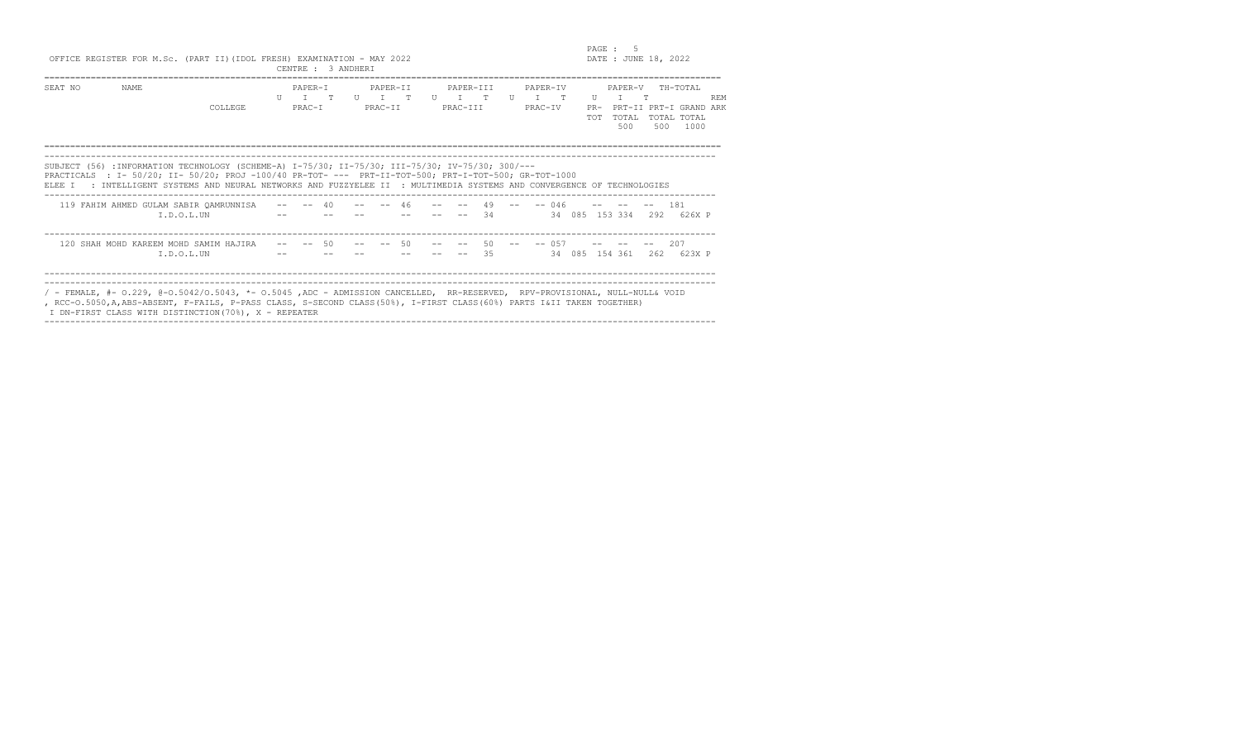|                                                                         | PAGE :            |
|-------------------------------------------------------------------------|-------------------|
| OFFICE REGISTER FOR M.Sc. (PART II) (IDOL FRESH) EXAMINATION - MAY 2022 | DATE: JUNE 18, 20 |

OFFICE REGISTER FOR M.Sc. (PART II)(IDOL FRESH) EXAMINATION - MAY 2022 DATE : JUNE 18, 2022 CENTRE : 3 ANDHERI

| SEAT NO | NAME                                                                                                                      |         | PAPER-T                                                                                                                              |    | PAPER-II |              |  | PAPER-TTT                           |                 |                 | PAPER-TV           |  |                      | PAPER-V        |            | TH-TOTAL                  |            |
|---------|---------------------------------------------------------------------------------------------------------------------------|---------|--------------------------------------------------------------------------------------------------------------------------------------|----|----------|--------------|--|-------------------------------------|-----------------|-----------------|--------------------|--|----------------------|----------------|------------|---------------------------|------------|
|         |                                                                                                                           | COLLEGE | $\begin{array}{ccccccccccccccccc} \text{II} & & \text{T} & & \text{T} & & \text{T} & & \text{II} & & \text{T} \end{array}$<br>PRAC-I |    | PRAC-TT  | $\mathbb{R}$ |  | $\Pi$ $\Pi$ $\Pi$ $\Pi$<br>PRAC-TTT |                 | $\overline{11}$ | $T$ T T<br>PRAC-TV |  | $_{\rm II}$<br>$PR-$ | T              | $^{\circ}$ | PRT-II PRT-I GRAND ARK    | <b>REM</b> |
|         |                                                                                                                           |         |                                                                                                                                      |    |          |              |  |                                     |                 |                 |                    |  | <b>TOT</b>           | TOTAL          |            | TOTAL TOTAL               |            |
|         |                                                                                                                           |         |                                                                                                                                      |    |          |              |  |                                     |                 |                 |                    |  |                      | 500            | 500        | 1000                      |            |
|         |                                                                                                                           |         |                                                                                                                                      |    |          |              |  |                                     |                 |                 |                    |  |                      |                |            |                           |            |
|         | SUBJECT (56) : INFORMATION TECHNOLOGY (SCHEME-A) I-75/30; II-75/30; III-75/30; IV-75/30; 300/---                          |         |                                                                                                                                      |    |          |              |  |                                     |                 |                 |                    |  |                      |                |            |                           |            |
|         | PRACTICALS : I- 50/20; II- 50/20; PROJ -100/40 PR-TOT- --- PRT-II-TOT-500; PRT-I-TOT-500; GR-TOT-1000                     |         |                                                                                                                                      |    |          |              |  |                                     |                 |                 |                    |  |                      |                |            |                           |            |
| ELEE T  | : INTELLIGENT SYSTEMS AND NEURAL NETWORKS AND FUZZYELEE II : MULTIMEDIA SYSTEMS AND CONVERGENCE OF TECHNOLOGIES           |         |                                                                                                                                      |    |          |              |  |                                     |                 |                 |                    |  |                      |                |            |                           |            |
|         | 119 FAHIM AHMED GULAM SABIR OAMRUNNISA                                                                                    |         | $- -$ 40                                                                                                                             |    | $- -$ 46 |              |  | $- --$ 49 $- -046$ $- --$           |                 |                 |                    |  |                      |                | $--$ 181   |                           |            |
|         | $T.D.O.I.$ UN                                                                                                             |         |                                                                                                                                      |    |          |              |  |                                     | $\overline{34}$ |                 |                    |  |                      |                |            | 34 085 153 334 292 626X P |            |
|         |                                                                                                                           |         |                                                                                                                                      |    |          |              |  |                                     |                 |                 |                    |  |                      |                |            |                           |            |
|         | 120 SHAH MOHD KAREEM MOHD SAMIM HAJIRA                                                                                    |         |                                                                                                                                      | 50 |          | 50           |  |                                     | 50<br>35        |                 | $-- 057$           |  |                      |                | 2.62       | 207<br>623X P             |            |
|         | I.D.O.L.UN                                                                                                                |         |                                                                                                                                      |    |          |              |  |                                     |                 |                 |                    |  |                      | 34 085 154 361 |            |                           |            |
|         |                                                                                                                           |         |                                                                                                                                      |    |          |              |  |                                     |                 |                 |                    |  |                      |                |            |                           |            |
|         | / - FEMALE, #- 0.229, @-0.5042/0.5043, *- 0.5045,ADC - ADMISSION CANCELLED, RR-RESERVED, RPV-PROVISIONAL, NULL-NULL& VOID |         |                                                                                                                                      |    |          |              |  |                                     |                 |                 |                    |  |                      |                |            |                           |            |
|         | , RCC-O.5050, A, ABS-ABSENT, F-FAILS, P-PASS CLASS, S-SECOND CLASS (50%), I-FIRST CLASS (60%) PARTS I&II TAKEN TOGETHER)  |         |                                                                                                                                      |    |          |              |  |                                     |                 |                 |                    |  |                      |                |            |                           |            |
|         | I DN-FIRST CLASS WITH DISTINCTION (70%), X - REPEATER                                                                     |         |                                                                                                                                      |    |          |              |  |                                     |                 |                 |                    |  |                      |                |            |                           |            |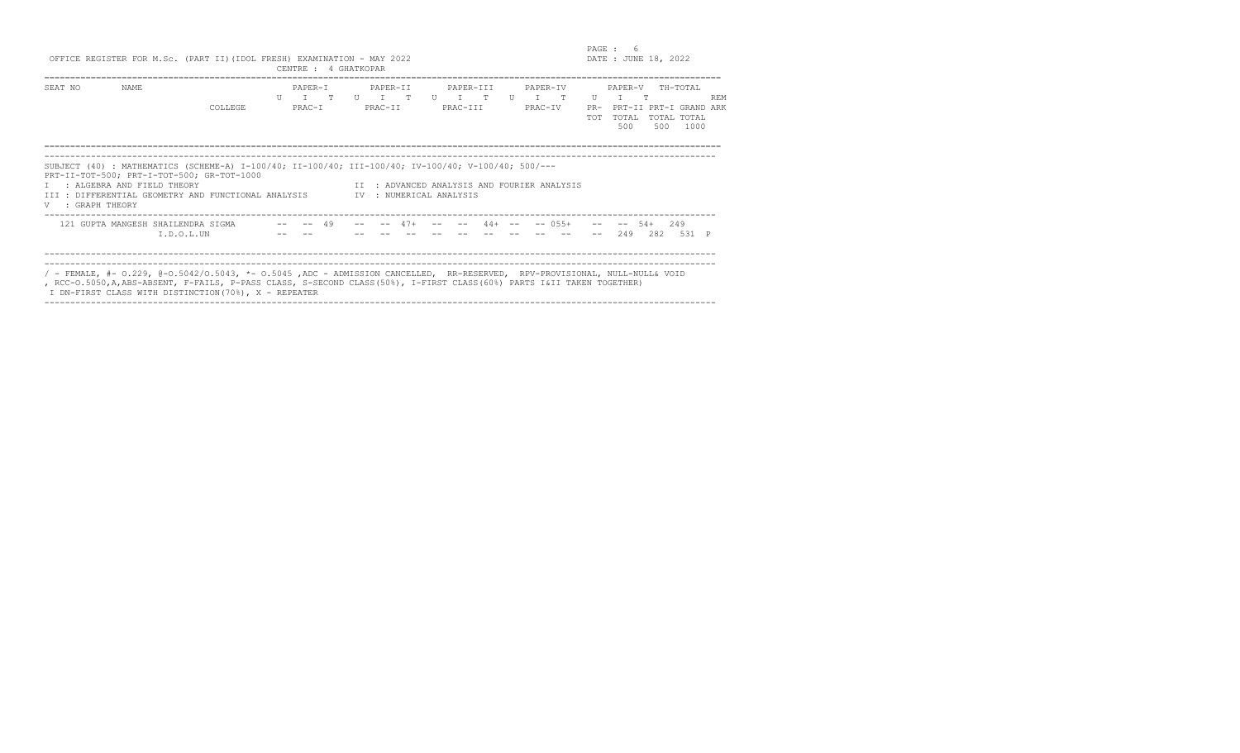| PAGE<br>$\sim$ | n      |              |  |
|----------------|--------|--------------|--|
| DA TE          | : JUNE | ı<br>$\cdot$ |  |

|                  |                                                                          | OFFICE REGISTER FOR M.Sc. (PART II) (IDOL FRESH) EXAMINATION - MAY 2022                                                                                                                                                                                                                                         | CENTRE : 4 GHATKOPAR                                                                                                                          |  |                     |       |                         |            |  |                                             | PAGE :     | DATE : JUNE 18, 2022                                           | 6        |                                 |            |
|------------------|--------------------------------------------------------------------------|-----------------------------------------------------------------------------------------------------------------------------------------------------------------------------------------------------------------------------------------------------------------------------------------------------------------|-----------------------------------------------------------------------------------------------------------------------------------------------|--|---------------------|-------|-------------------------|------------|--|---------------------------------------------|------------|----------------------------------------------------------------|----------|---------------------------------|------------|
| SEAT NO          | NAME.                                                                    | <b>COLLEGE</b>                                                                                                                                                                                                                                                                                                  | PAPER-T<br>$\begin{array}{ccccccccccccccccccccc} \ & U & & \top & & \top & & \ & \ & \ & \ & U & & \top & & \top & & \ \end{array}$<br>PRAC-I |  | PAPER-TT<br>PRAC-TT |       | PAPER-TTT<br>PRAC-TTT   |            |  | PAPER-TV<br>PRAC-TV                         | <b>TOT</b> | PAPER-V<br>$U$ T<br>PR- PRT-II PRT-I GRAND ARK<br>TOTAL<br>500 | T<br>500 | TH-TOTAL<br>TOTAL TOTAL<br>1000 | <b>REM</b> |
| V : GRAPH THEORY | PRT-II-TOT-500; PRT-I-TOT-500; GR-TOT-1000<br>: ALGEBRA AND FIELD THEORY | SUBJECT (40): MATHEMATICS (SCHEME-A) I-100/40; II-100/40; III-100/40; IV-100/40; V-100/40; 500/---<br>III : DIFFERENTIAL GEOMETRY AND FUNCTIONAL ANALYSIS                                                                                                                                                       |                                                                                                                                               |  |                     |       | TV : NUMERICAL ANALYSIS |            |  | II : ADVANCED ANALYSIS AND FOURIER ANALYSIS |            |                                                                |          |                                 |            |
|                  | I.D.O.L.UN                                                               | 121 GUPTA MANGESH SHAILENDRA SIGMA -- -- 49                                                                                                                                                                                                                                                                     |                                                                                                                                               |  |                     | $47+$ |                         | $44 + - -$ |  | $--$ 0.5.5+                                 |            | $-- 54+$<br>249                                                | 282      | 249<br>531 P                    |            |
|                  |                                                                          | / - FEMALE, #- 0.229, @-0.5042/0.5043, *- 0.5045, ADC - ADMISSION CANCELLED, RR-RESERVED, RPV-PROVISIONAL, NULL-NULL& VOID<br>, RCC-O.5050, A, ABS-ABSENT, F-FAILS, P-PASS CLASS, S-SECOND CLASS (50%), I-FIRST CLASS (60%) PARTS I&II TAKEN TOGETHER)<br>I DN-FIRST CLASS WITH DISTINCTION (70%), X - REPEATER |                                                                                                                                               |  |                     |       |                         |            |  |                                             |            |                                                                |          |                                 |            |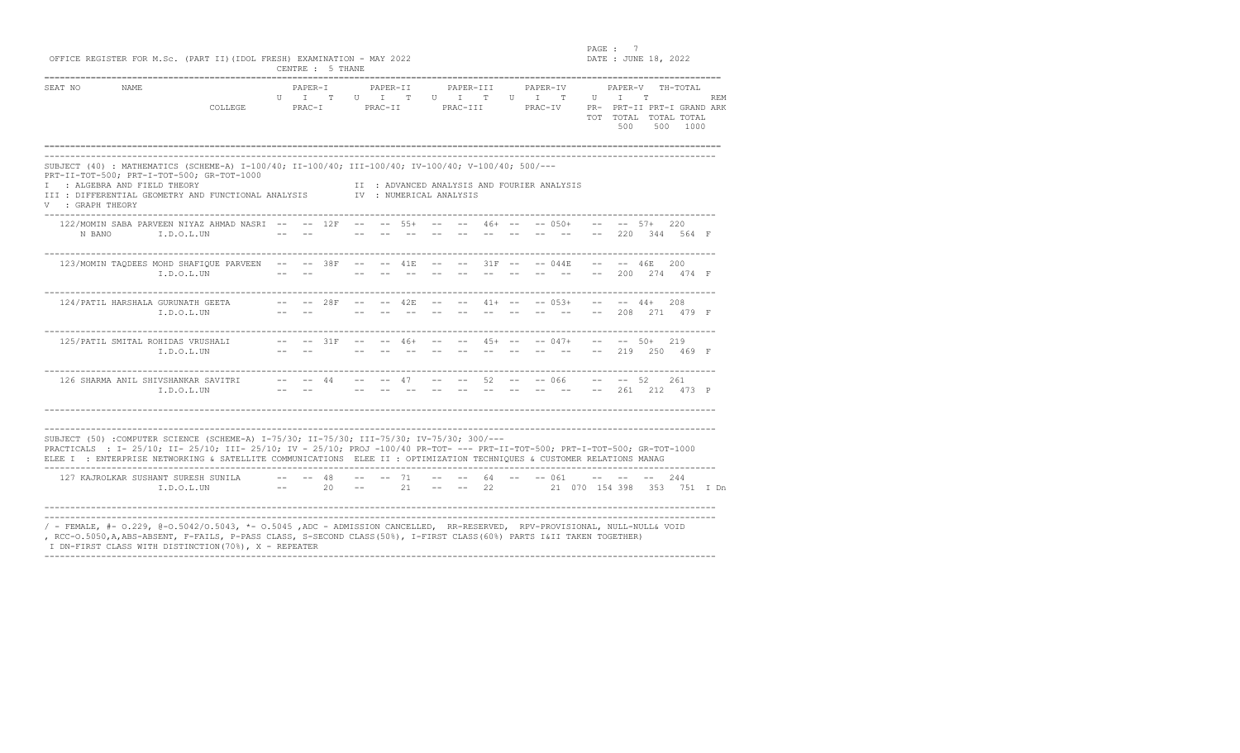en and the set of the set of the set of the set of the set of the set of the set of the set of the set of the set of the set of the set of the set of the set of the set of the set of the set of the set of the set of the se  $DATA: JUNE 18, 2022$ 

| OFFICE REGISTER FOR M.Sc. (PART II) (IDOL FRESH) EXAMINATION - MAY 2022 |  |  |                  |  |
|-------------------------------------------------------------------------|--|--|------------------|--|
|                                                                         |  |  | CENTRE : 5 THANE |  |

| SEAT NO        | NAME                                       |                                                                                                     |   | PAPER-I |                  | PAPER-TT |   | PAPER-TTT                                |                | PAPER-TV |    |       | PAPER-V                |     | ТН-ТОТАІ.           |            |
|----------------|--------------------------------------------|-----------------------------------------------------------------------------------------------------|---|---------|------------------|----------|---|------------------------------------------|----------------|----------|----|-------|------------------------|-----|---------------------|------------|
|                |                                            |                                                                                                     | Π |         | T<br>$_{\rm II}$ |          | H | $^{\circ}$                               | $_{\text{II}}$ |          | T. | U     |                        |     |                     | <b>REM</b> |
|                |                                            | COLLEGE                                                                                             |   | PRAC-I  |                  | PRAC-II  |   | PRAC-III                                 |                | PRAC-TV  |    | $PR-$ | PRT-II PRT-I GRAND ARK |     |                     |            |
|                |                                            |                                                                                                     |   |         |                  |          |   |                                          |                |          |    | TOT   | TOTAL.<br>500          | 500 | TOTAL TOTAL<br>1000 |            |
|                |                                            |                                                                                                     |   |         |                  |          |   |                                          |                |          |    |       |                        |     |                     |            |
|                |                                            |                                                                                                     |   |         |                  |          |   |                                          |                |          |    |       |                        |     |                     |            |
|                | PRT-II-TOT-500; PRT-I-TOT-500; GR-TOT-1000 | SUBJECT (40) : MATHEMATICS (SCHEME-A) I-100/40; II-100/40; III-100/40; IV-100/40; V-100/40; 500/--- |   |         |                  |          |   |                                          |                |          |    |       |                        |     |                     |            |
|                |                                            |                                                                                                     |   |         |                  |          |   |                                          |                |          |    |       |                        |     |                     |            |
|                | : ALGEBRA AND FIELD THEORY                 |                                                                                                     |   |         |                  |          |   | : ADVANCED ANALYSIS AND FOURIER ANALYSIS |                |          |    |       |                        |     |                     |            |
| : GRAPH THEORY |                                            | III : DIFFERENTIAL GEOMETRY AND FUNCTIONAL ANALYSIS                                                 |   |         | TV.              |          |   | : NUMERICAL ANALYSIS                     |                |          |    |       |                        |     |                     |            |

| 123/MOMIN TAODEES MOHD SHAFIQUE PARVEEN<br>I.D.O.L.UN |      | 38F         |                                                                                                                                                                                                                                                                                                                                                                                                                                                                     | $--$ 41E  |  |  | $--- 31F --- 044E$   | $- -$ | and the second state of<br>200 | 46E.<br>274              | 200<br>474 F |  |
|-------------------------------------------------------|------|-------------|---------------------------------------------------------------------------------------------------------------------------------------------------------------------------------------------------------------------------------------------------------------------------------------------------------------------------------------------------------------------------------------------------------------------------------------------------------------------|-----------|--|--|----------------------|-------|--------------------------------|--------------------------|--------------|--|
| 124/PATIL HARSHALA GURUNATH GEETA<br>I.D.O.L.UN       |      | -- -- 2.8F  |                                                                                                                                                                                                                                                                                                                                                                                                                                                                     | -- -- 42E |  |  | -- -- 41+ -- -- 053+ | $- -$ | 208                            | $- -44+$ 208<br>2.71     | 479 F        |  |
| 125/PATIL SMITAL ROHIDAS VRUSHALI<br>I.D.O.L.UN       | $--$ | $--$ 31 $F$ | $\frac{1}{2} \frac{1}{2} \left( \frac{1}{2} \right) \left( \frac{1}{2} \right) \left( \frac{1}{2} \right) \left( \frac{1}{2} \right) \left( \frac{1}{2} \right) \left( \frac{1}{2} \right) \left( \frac{1}{2} \right) \left( \frac{1}{2} \right) \left( \frac{1}{2} \right) \left( \frac{1}{2} \right) \left( \frac{1}{2} \right) \left( \frac{1}{2} \right) \left( \frac{1}{2} \right) \left( \frac{1}{2} \right) \left( \frac{1}{2} \right) \left( \frac{1}{2} \$ | $-- 46+$  |  |  | $--- 45+ --- 047+$   | $- -$ | 219                            | $-- - - 50 + 219$<br>250 | 469 F        |  |

| 126 SHARMA ANIL SHIVSHANKAR SAVITRI                                                                                           |  |  |  |  |  | -- -- 44 -- -- 47 -- -- 52 -- -- 066 -- -- 52  |  | 261 |  |
|-------------------------------------------------------------------------------------------------------------------------------|--|--|--|--|--|------------------------------------------------|--|-----|--|
| $T.D.O.I.$ UN                                                                                                                 |  |  |  |  |  | -- -- -- -- -- -- -- -- -- -- -- 261 212 473 P |  |     |  |
|                                                                                                                               |  |  |  |  |  |                                                |  |     |  |
|                                                                                                                               |  |  |  |  |  |                                                |  |     |  |
| SUBJECT (50) :COMPUTER SCIENCE (SCHEME-A) I-75/30; II-75/30; III-75/30; IV-75/30; 300/---                                     |  |  |  |  |  |                                                |  |     |  |
| PRACTICALS : I- 25/10; II- 25/10; III- 25/10; IV - 25/10; PROJ -100/40 PR-TOT- --- PRT-II-TOT-500; PRT-I-TOT-500; GR-TOT-1000 |  |  |  |  |  |                                                |  |     |  |
| ELEE I : ENTERPRISE NETWORKING & SATELLITE COMMUNICATIONS ELEE II : OPTIMIZATION TECHNIOUES & CUSTOMER RELATIONS MANAG        |  |  |  |  |  |                                                |  |     |  |

| 127 KAJROLKAR SUSHANT SURESH SUNILA<br>T.D.O.T.UN                                                                                                                                                                                                     |  | -- -- 48 -- -- 71 -- -- 64 -- -- 061 -- -- -- 244<br>-- 20 -- 21 -- -- 22 21 070 154 398 353 751 IDn |  |  |  |  |  |  |  |
|-------------------------------------------------------------------------------------------------------------------------------------------------------------------------------------------------------------------------------------------------------|--|------------------------------------------------------------------------------------------------------|--|--|--|--|--|--|--|
| / - FEMALE, #- 0.229, @-0.5042/0.5043, *- 0.5045,ADC - ADMISSION CANCELLED, RR-RESERVED, RPV-PROVISIONAL, NULL-NULL& VOID<br>, RCC-O.5050, A, ABS-ABSENT, F-FAILS, P-PASS CLASS, S-SECOND CLASS (50%), I-FIRST CLASS (60%) PARTS I&II TAKEN TOGETHER) |  |                                                                                                      |  |  |  |  |  |  |  |
| I DN-FIRST CLASS WITH DISTINCTION (70%), X - REPEATER                                                                                                                                                                                                 |  |                                                                                                      |  |  |  |  |  |  |  |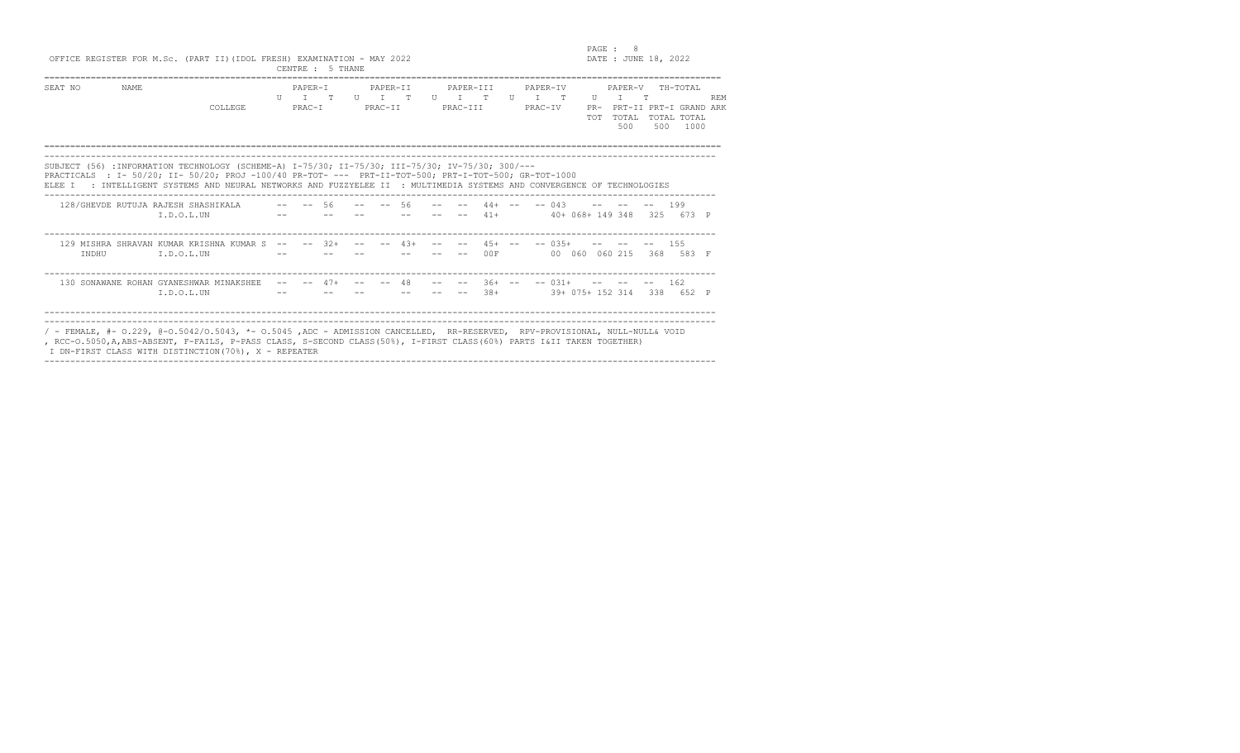| PAGE.           |  |       |
|-----------------|--|-------|
| DATE : JUNE 18, |  | - 2.0 |

PAGE : 8<br>OFFICE REGISTER FOR M.Sc. (PART II)(IDOL FRESH) EXAMINATION - MAY 2022

|                                                                                                |                                                                                                                                                                                                           |  | CENTRE : 5 THANE      |          |                |  |                              |          |  |            |                                    |     |                                                         |            |
|------------------------------------------------------------------------------------------------|-----------------------------------------------------------------------------------------------------------------------------------------------------------------------------------------------------------|--|-----------------------|----------|----------------|--|------------------------------|----------|--|------------|------------------------------------|-----|---------------------------------------------------------|------------|
| SEAT NO<br>NAME.                                                                               |                                                                                                                                                                                                           |  | PAPER-T               | PAPER-TT |                |  | PAPER-TTT                    | PAPER-TV |  |            | PAPER-V                            |     | TH-TOTAL                                                |            |
|                                                                                                | COLLEGE                                                                                                                                                                                                   |  |                       |          | PRAC-I PRAC-II |  | UI TUI TUI TUI T<br>PRAC-III | PRAC-IV  |  | <b>TOT</b> | $\mathbf{U}$ T $\mathbf{T}$<br>500 | 500 | PR- PRT-II PRT-I GRAND ARK<br>TOTAL TOTAL TOTAL<br>1000 | <b>REM</b> |
|                                                                                                | SUBJECT (56) : INFORMATION TECHNOLOGY (SCHEME-A) I-75/30; II-75/30; III-75/30; IV-75/30; 300/---<br>PRACTICALS : I- 50/20; II- 50/20; PROJ -100/40 PR-TOT- --- PRT-II-TOT-500; PRT-I-TOT-500; GR-TOT-1000 |  |                       |          |                |  |                              |          |  |            |                                    |     |                                                         |            |
|                                                                                                | ELEE I : INTELLIGENT SYSTEMS AND NEURAL NETWORKS AND FUZZYELEE II : MULTIMEDIA SYSTEMS AND CONVERGENCE OF TECHNOLOGIES                                                                                    |  |                       |          |                |  |                              |          |  |            |                                    |     |                                                         |            |
| 128/GHEVDE RUTUJA RAJESH SHASHIKALA   -- -- 56   -- -- 56   -- -- 44+ -- -- 043   -- -- -- 199 | I.D.O.L.UN                                                                                                                                                                                                |  |                       |          |                |  |                              |          |  |            |                                    |     | -- -- -- -- -- -- 41+ 40+ 068+ 149 348 325 673 P        |            |
| INDHU                                                                                          | 129 MISHRA SHRAVAN KUMAR KRISHNA KUMAR S -- -- 32+ -- -- 43+ -- -- 45+ -- -- 035+ -- -- -- 155<br>I.D.O.L.UN                                                                                              |  | www.communication.com |          |                |  |                              |          |  |            |                                    |     | -- -- 00F 00 060 060 215 368 583 F                      |            |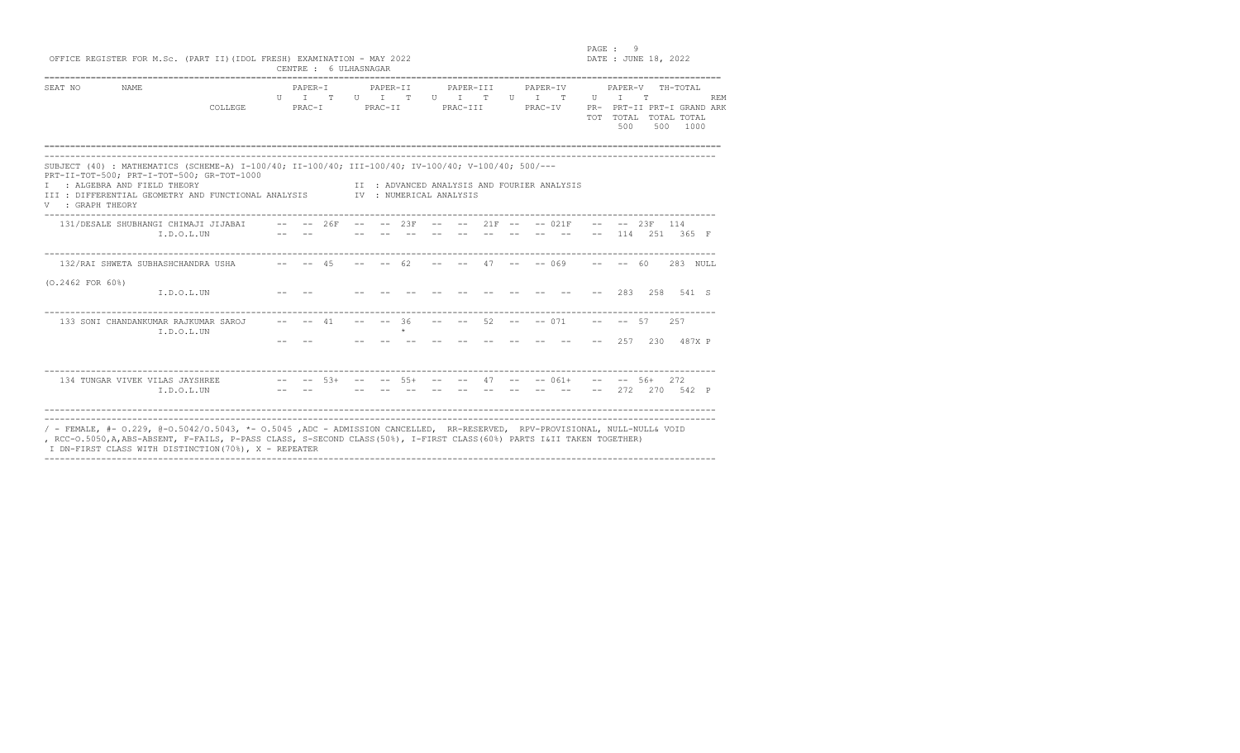en and the set of the set of the set of the set of the set of the set of the set of the set of the set of the set of the set of the set of the set of the set of the set of the set of the set of the set of the set of the se

OFFICE REGISTER FOR M.Sc. (PART II)(IDOL FRESH) EXAMINATION - MAY 2022 DATE : JUNE 18, 2022

|                       | viilus novivion lyn n.wy. (lint il) (lpvo lnovn) ominilinilon - imi avaa                                                                                                                                                                                        |    | CENTRE : 6 ULHASNAGAR  |              |          |                     |                    |         |                       |              |                                    |                                             |                 |                              |     |                                                                      |            |
|-----------------------|-----------------------------------------------------------------------------------------------------------------------------------------------------------------------------------------------------------------------------------------------------------------|----|------------------------|--------------|----------|---------------------|--------------------|---------|-----------------------|--------------|------------------------------------|---------------------------------------------|-----------------|------------------------------|-----|----------------------------------------------------------------------|------------|
| SEAT NO               | <b>NAME</b><br>COLLEGE                                                                                                                                                                                                                                          | II | PAPER-T<br>T<br>PRAC-I | $\mathbb{R}$ | $II$ $T$ | PAPER-TT<br>PRAC-II | $\mathbb{R}$       | $U$ $T$ | PAPER-III<br>PRAC-TTT | $\mathbb{R}$ | PAPER-TV<br>$U$ $T$ $T$<br>PRAC-IV |                                             | U<br><b>TOT</b> | PAPER-V<br>T<br>TOTAL<br>500 | T   | TH-TOTAL<br>PR- PRT-II PRT-I GRAND ARK<br>TOTAL TOTAL<br>500<br>1000 | <b>REM</b> |
| T<br>V : GRAPH THEORY | SUBJECT (40) : MATHEMATICS (SCHEME-A) I-100/40; II-100/40; III-100/40; IV-100/40; V-100/40; 500/---<br>PRT-II-TOT-500; PRT-I-TOT-500; GR-TOT-1000<br>: ALGEBRA AND FIELD THEORY<br>III : DIFFERENTIAL GEOMETRY AND FUNCTIONAL ANALYSIS TWO : NUMERICAL ANALYSIS |    |                        |              |          |                     |                    |         |                       |              |                                    | II : ADVANCED ANALYSIS AND FOURIER ANALYSIS |                 |                              |     |                                                                      |            |
|                       | 131/DESALE SHUBHANGI CHIMAJI JIJABAI -- -- 26F -- -- 23F -- -- 21F -- -- 021F<br>I.D.O.L.UN                                                                                                                                                                     |    |                        |              |          |                     |                    |         |                       |              |                                    |                                             |                 | $-- 23F$                     |     | 114<br>114 251 365 F                                                 |            |
|                       | 132/RAI SHWETA SUBHASHCHANDRA USHA -- -- 45                                                                                                                                                                                                                     |    |                        |              |          | $-- 62$             |                    |         |                       |              |                                    | $- --$ 47 $--$ 0.69 $--$ 60                 |                 |                              |     | 283 NULL                                                             |            |
| $(0.2462$ FOR $60\$ ) | I.D.O.L.UN                                                                                                                                                                                                                                                      |    |                        |              |          |                     |                    |         |                       |              |                                    |                                             |                 | 283                          |     | 2.58 541 S                                                           |            |
|                       | 133 SONI CHANDANKUMAR RAJKUMAR SAROJ<br>I.D.O.L.UN                                                                                                                                                                                                              |    |                        | 41           |          |                     | $-- 36$<br>$\star$ |         |                       | 52.          |                                    | $-- - - 071$                                | $\sim$ $-$      | $-- 57$<br>257               | 230 | 2.57<br>487X P                                                       |            |

---------------------------------------------------------------------------------------------------------------------------------- 134 TUNGAR VIVEK VILAS JAYSHREE -- -- 53+ -- -- 55+ -- -- 47 -- -- 061+ -- -- 56+ 272<br>I.D.O.L.UN -- -- -- -- -- -- -- -- -- -- -- -- 272 270 542 P ---------------------------------------------------------------------------------------------------------------------------------- ---------------------------------------------------------------------------------------------------------------------------------- / - FEMALE, #- O.229, @-O.5042/O.5043, \*- O.5045 ,ADC - ADMISSION CANCELLED, RR-RESERVED, RPV-PROVISIONAL, NULL-NULL& VOID , RCC-O.5050,A,ABS-ABSENT, F-FAILS, P-PASS CLASS, S-SECOND CLASS(50%), I-FIRST CLASS(60%) PARTS I&II TAKEN TOGETHER)

----------------------------------------------------------------------------------------------------------------------------------

I DN-FIRST CLASS WITH DISTINCTION(70%), X - REPEATER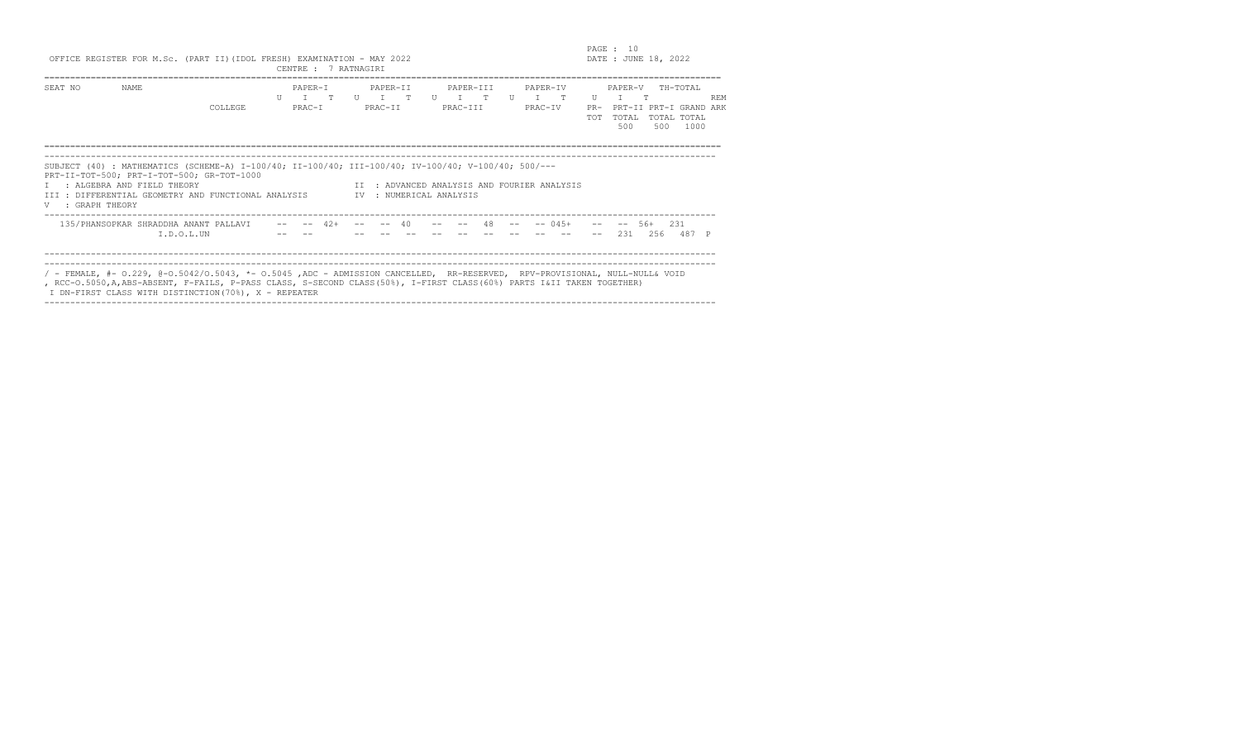end the state of the state of the state of the state of the state of the state of the state of the state of the state of the state of the state of the state of the state of the state of the state of the state of the state  $DATE: JUNE 18, 2022$ 

| OFFICE REGISTER FOR M.Sc. (PART II) (IDOL FRESH) EXAMINATION - MAY 2022 |  |  |  |  |  |                      |  |
|-------------------------------------------------------------------------|--|--|--|--|--|----------------------|--|
|                                                                         |  |  |  |  |  | CENTRE : 7 RATNAGIRI |  |

|                  |                                                                                                                                                                                                                                                                                                                 |                |     | CENINE I NAINAGIN |  |                         |  |          |           |         |                                             |              |              |            |                                               |            |
|------------------|-----------------------------------------------------------------------------------------------------------------------------------------------------------------------------------------------------------------------------------------------------------------------------------------------------------------|----------------|-----|-------------------|--|-------------------------|--|----------|-----------|---------|---------------------------------------------|--------------|--------------|------------|-----------------------------------------------|------------|
| SEAT NO          | NAME                                                                                                                                                                                                                                                                                                            |                |     | PAPER-T           |  | PAPER-TT                |  |          | PAPER-III |         | PAPER-IV                                    |              | PAPER-V      |            | ТН-ТОТАІ.                                     |            |
|                  |                                                                                                                                                                                                                                                                                                                 |                | TT. | T T U T T         |  |                         |  |          |           |         |                                             | $\mathbf{H}$ | T            | $^{\circ}$ |                                               | <b>REM</b> |
|                  |                                                                                                                                                                                                                                                                                                                 | <b>COLLEGE</b> |     | PRAC-T            |  | PRAC-TT                 |  | PRAC-TTT |           | PRAC-TV |                                             | $PR-$<br>TOT | TOTAL<br>500 | 500        | PRT-II PRT-I GRAND ARK<br>TOTAL TOTAL<br>1000 |            |
| V : GRAPH THEORY | SUBJECT (40) : MATHEMATICS (SCHEME-A) I-100/40; II-100/40; III-100/40; IV-100/40; V-100/40; 500/---<br>PRT-II-TOT-500; PRT-I-TOT-500; GR-TOT-1000<br>I : ALGEBRA AND FIELD THEORY<br>III : DIFFERENTIAL GEOMETRY AND FUNCTIONAL ANALYSIS                                                                        |                |     |                   |  | TV : NUMERICAL ANALYSIS |  |          |           |         | IT : ADVANCED ANALYSIS AND FOURIER ANALYSIS |              |              |            |                                               |            |
|                  |                                                                                                                                                                                                                                                                                                                 |                |     |                   |  |                         |  |          |           |         |                                             |              |              |            |                                               |            |
|                  | 135/PHANSOPKAR SHRADDHA ANANT PALLAVI -- -- 42+<br>$T.D.O.T.$ UN                                                                                                                                                                                                                                                |                |     |                   |  |                         |  |          |           |         | $--$ 04.5+                                  |              | 231          | 56+        | 231<br>256 487 P                              |            |
|                  | / - FEMALE, #- 0.229, @-0.5042/0.5043, *- 0.5045, ADC - ADMISSION CANCELLED, RR-RESERVED, RPV-PROVISIONAL, NULL-NULL& VOID<br>, RCC-O.5050, A, ABS-ABSENT, F-FAILS, P-PASS CLASS, S-SECOND CLASS (50%), I-FIRST CLASS (60%) PARTS I&II TAKEN TOGETHER)<br>I DN-FIRST CLASS WITH DISTINCTION (70%), X - REPEATER |                |     |                   |  |                         |  |          |           |         |                                             |              |              |            |                                               |            |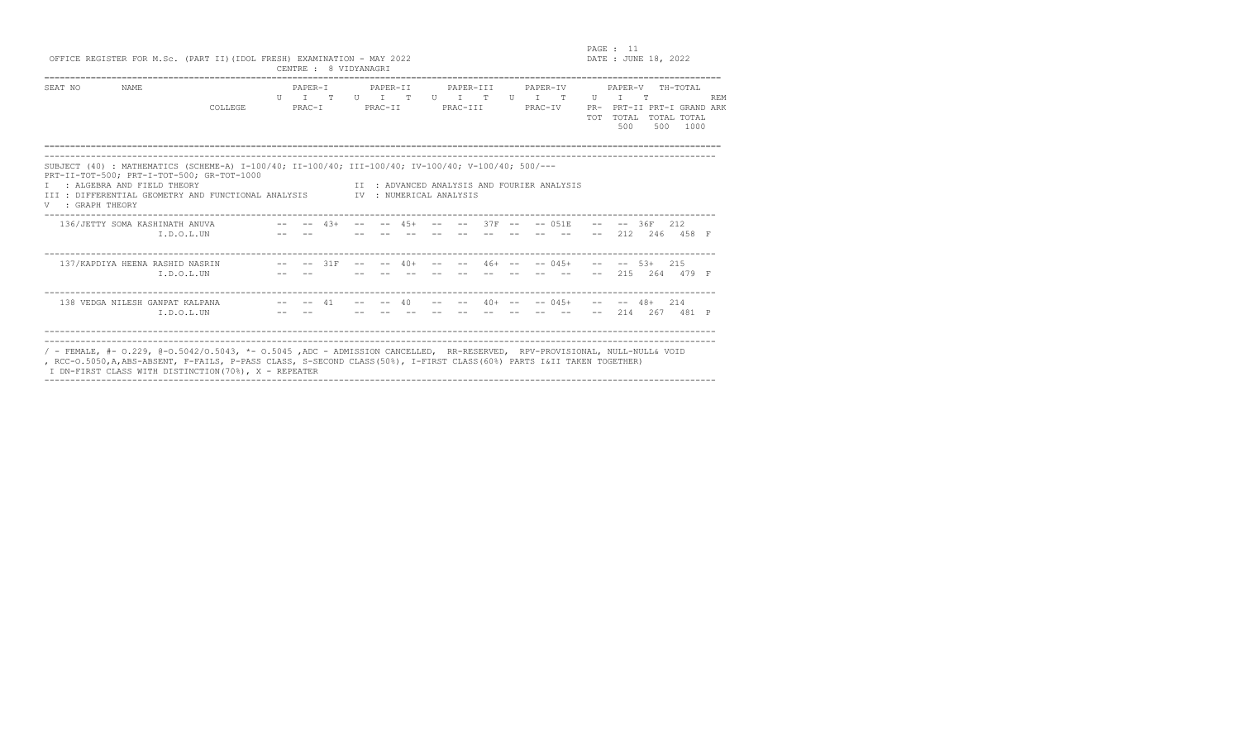## PAGE : 11<br>
OFFICE REGISTER FOR M.Sc. (PART II)(IDOL FRESH) EXAMINATION - MAY 2022<br>
CENTRE : 8 VIDYANAGRI

|                |                                                                                                                                                  |         |         |    | $\cup$ $\cup$ $\bot$ $\bot$ $\bot$ $\cup$ $\bot$ $\cup$ $\bot$ $\cup$ $\bot$ |          |   |                      |   |          |                                          |                     |               |                               |                     |            |
|----------------|--------------------------------------------------------------------------------------------------------------------------------------------------|---------|---------|----|------------------------------------------------------------------------------|----------|---|----------------------|---|----------|------------------------------------------|---------------------|---------------|-------------------------------|---------------------|------------|
|                |                                                                                                                                                  |         |         |    |                                                                              |          |   |                      |   |          |                                          |                     |               |                               |                     |            |
| SEAT NO        | <b>NAME</b>                                                                                                                                      |         | PAPER-T |    |                                                                              | PAPER-TT |   | PAPER-TTT            |   | PAPER-TV |                                          |                     | PAPER-V       |                               | TH-TOTAI,           |            |
|                |                                                                                                                                                  |         | U       | T. | H                                                                            |          | T |                      | H |          | T.                                       | U                   |               | m                             |                     | <b>REM</b> |
|                |                                                                                                                                                  | COLLEGE | PRAC-T  |    |                                                                              | PRAC-TT  |   | PRAC-TTT             |   | PRAC-TV  |                                          | $PR-$<br><b>TOT</b> | TOTAL.<br>500 | PRT-II PRT-I GRAND ARK<br>500 | TOTAL TOTAL<br>1000 |            |
|                |                                                                                                                                                  |         |         |    |                                                                              |          |   |                      |   |          |                                          |                     |               |                               |                     |            |
|                | SUBJECT (40): MATHEMATICS (SCHEME-A) I-100/40; II-100/40; III-100/40; IV-100/40; V-100/40; 500/---<br>PRT-II-TOT-500; PRT-I-TOT-500; GR-TOT-1000 |         |         |    |                                                                              |          |   |                      |   |          |                                          |                     |               |                               |                     |            |
| : GRAPH THEORY | : ALGEBRA AND FIELD THEORY<br>TIT : DIFFERENTIAL GEOMETRY AND FUNCTIONAL ANALYSIS                                                                |         |         |    | TV                                                                           |          |   | : NUMERICAL ANALYSIS |   |          | : ADVANCED ANALYSIS AND FOURTER ANALYSIS |                     |               |                               |                     |            |

| 136/JETTY SOMA KASHINATH ANUVA<br>I.D.O.L.UN                                                                                                                                                                                                       | $ -$ | $4.3+$      |                   | $- -$ | $4.5+$   | $- -$             |       |  | $--$ 37F $- --$ 0.51E | 212 | $-- - - 36F$ 212<br>246  | 458 F |  |
|----------------------------------------------------------------------------------------------------------------------------------------------------------------------------------------------------------------------------------------------------|------|-------------|-------------------|-------|----------|-------------------|-------|--|-----------------------|-----|--------------------------|-------|--|
| 137/KAPDIYA HEENA RASHID NASRIN<br>I.D.O.L.UN                                                                                                                                                                                                      |      | $--$ 31 $F$ | $\qquad \qquad -$ |       | $-- 40+$ | $\qquad \qquad -$ | $- -$ |  | $46+ - - - - 045+$    | 215 | $- --$ 5.3+ 2.15<br>2.64 | 479 F |  |
| 138 VEDGA NILESH GANPAT KALPANA<br>I.D.O.L.UN                                                                                                                                                                                                      |      | 41          |                   | $- -$ | 40       |                   |       |  | $40+$ -- -- 045+      | 214 | $- -48+$ 214<br>267      | 481 P |  |
| / - FEMALE, #- 0.229, @-0.5042/0.5043, *- 0.5045 ,ADC - ADMISSION CANCELLED, RR-RESERVED, RPV-PROVISIONAL, NULL-NULL& VOID<br>, RCC-O.5050,A,ABS-ABSENT, F-FAILS, P-PASS CLASS, S-SECOND CLASS(50%), I-FIRST CLASS(60%) PARTS I&II TAKEN TOGETHER) |      |             |                   |       |          |                   |       |  |                       |     |                          |       |  |

I DN-FIRST CLASS WITH DISTINCTION(70%), X - REPEATER ----------------------------------------------------------------------------------------------------------------------------------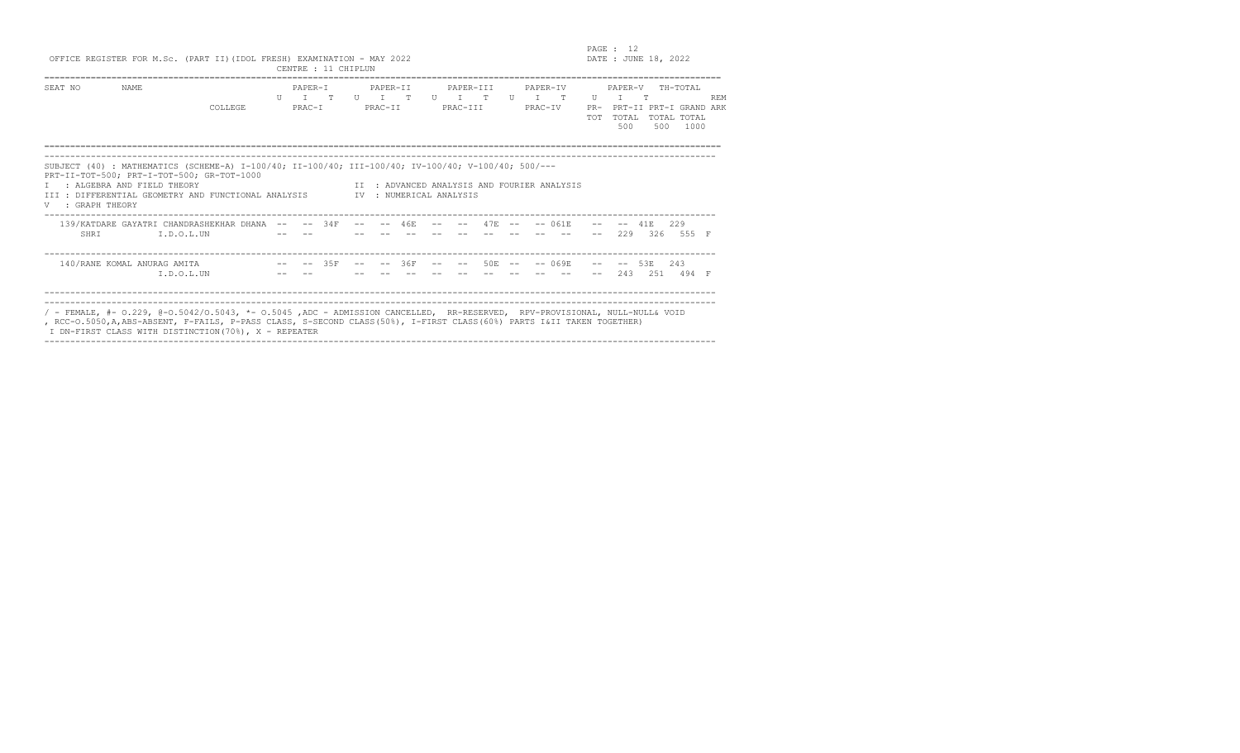## PAGE : 12<br>OFFICE REGISTER FOR M.Sc. (PART II)(IDOL FRESH) EXAMINATION - MAY 2022

|                       |                                                                                                                                                                                                                                        | viilus novivion lyn n.wy. (lint il) (lyvo litovn) oninilmilevn - inil 2022 | CENTRE : 11 CHIPLUN                                    |       |                     |              |                         |           |           |                 |                              |                                             |                  |                         | $D111L$ . CONE IC, $E0LL$ |                                                               |            |
|-----------------------|----------------------------------------------------------------------------------------------------------------------------------------------------------------------------------------------------------------------------------------|----------------------------------------------------------------------------|--------------------------------------------------------|-------|---------------------|--------------|-------------------------|-----------|-----------|-----------------|------------------------------|---------------------------------------------|------------------|-------------------------|---------------------------|---------------------------------------------------------------|------------|
| SEAT NO               | NAME                                                                                                                                                                                                                                   | COLLEGE                                                                    | PAPER-T<br>$\Pi$ $\top$ $\Pi$ $\Pi$ $\Pi$<br>$PRACT-I$ |       | PAPER-II<br>PRAC-II | $\mathbb{T}$ | $U$ $T$ $T$<br>PRAC-III | PAPER-TTT |           | $\overline{11}$ | PAPER-TV<br>$T$ T<br>PRAC-IV |                                             | TT<br><b>TOT</b> | PAPER-V<br>TOTAL<br>500 | 500                       | TH-TOTAL<br>PR- PRT-II PRT-I GRAND ARK<br>TOTAL TOTAL<br>1000 | <b>REM</b> |
| T<br>V : GRAPH THEORY | SUBJECT (40) : MATHEMATICS (SCHEME-A) I-100/40; II-100/40; III-100/40; IV-100/40; V-100/40; 500/---<br>PRT-II-TOT-500; PRT-I-TOT-500; GR-TOT-1000<br>: ALGEBRA AND FIELD THEORY<br>III : DIFFERENTIAL GEOMETRY AND FUNCTIONAL ANALYSIS |                                                                            |                                                        |       |                     |              | IV : NUMERICAL ANALYSIS |           |           |                 |                              | IT : ADVANCED ANALYSIS AND FOURIER ANALYSIS |                  |                         |                           |                                                               |            |
| SHRI                  | 139/KATDARE GAYATRI CHANDRASHEKHAR DHANA -- -- 34F<br>I.D.O.L.UN                                                                                                                                                                       |                                                                            |                                                        | $- -$ | $- -$               | 46E          |                         |           | $47F - -$ |                 |                              | $-- 061E$                                   |                  | 229                     | 41 E<br>326               | 229<br>555 F                                                  |            |
|                       | 140/RANE KOMAL ANURAG AMITA<br>I.D.O.L.UN                                                                                                                                                                                              | $--$ 35F                                                                   |                                                        |       |                     | $--36F$      |                         |           | $50F - -$ |                 |                              | $-- 069F.$                                  |                  | $--$ 53 $E$<br>243      | 251                       | 243<br>494 F                                                  |            |
|                       |                                                                                                                                                                                                                                        |                                                                            |                                                        |       |                     |              |                         |           |           |                 |                              |                                             |                  |                         |                           |                                                               |            |

---------------------------------------------------------------------------------------------------------------------------------- / - FEMALE, #- O.229, @-O.5042/O.5043, \*- O.5045 ,ADC - ADMISSION CANCELLED, RR-RESERVED, RPV-PROVISIONAL, NULL-NULL& VOID , RCC-O.5050,A,ABS-ABSENT, F-FAILS, P-PASS CLASS, S-SECOND CLASS(50%), I-FIRST CLASS(60%) PARTS I&II TAKEN TOGETHER) I DN-FIRST CLASS WITH DISTINCTION(70%), X - REPEATER ----------------------------------------------------------------------------------------------------------------------------------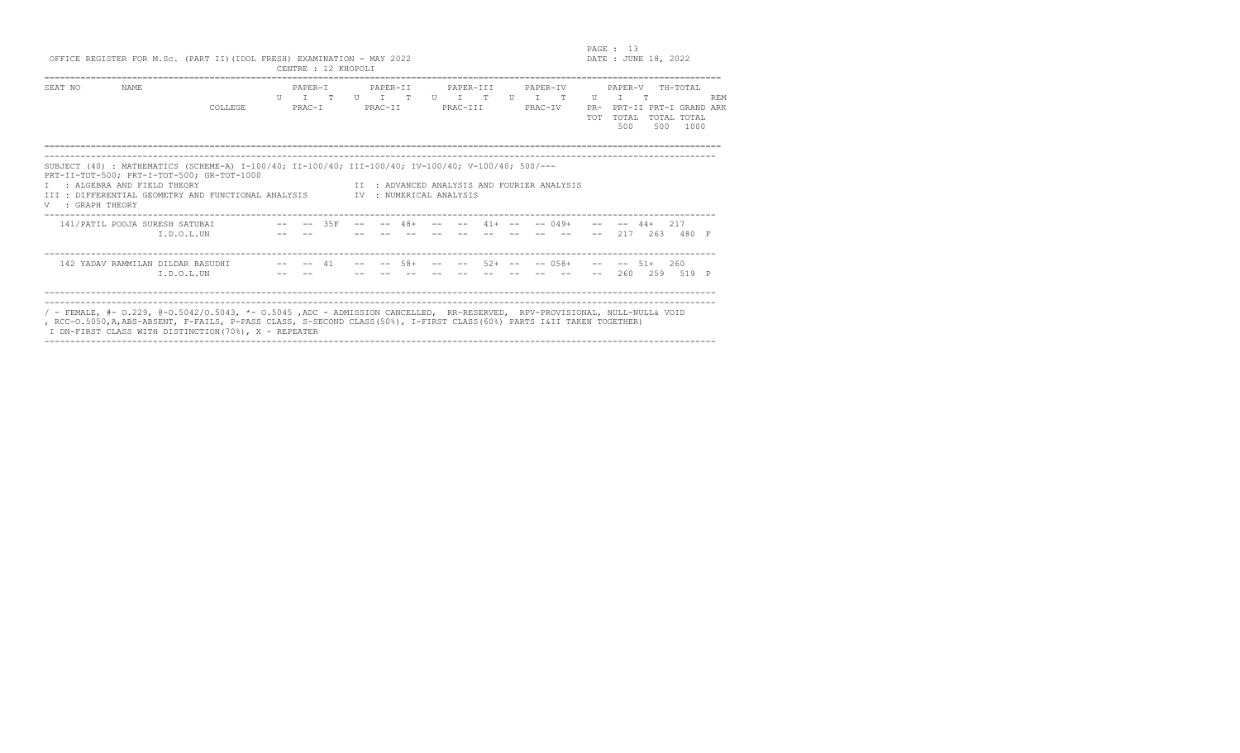en and the set of the set of the set of the set of the set of the set of the set of the set of the set of the set of the set of the set of the set of the set of the set of the set of the set of the set of the set of the se  $DATA: JUNE 18, 2022$ 

| OFFICE REGISTER FOR M.Sc. (PART II) (IDOL FRESH) EXAMINATION - MAY 2022 |  |  |                     |  |  |
|-------------------------------------------------------------------------|--|--|---------------------|--|--|
|                                                                         |  |  | CENTRE : 12 KHOPOLI |  |  |

|                                    |                                                                                                                                                                                                                                    |         |    | CENTRE : 12 KHOPOLI |            |              |                          |          |                      |                                       |               |              |                          |                                             |                   |                         |     |                                                           |              |
|------------------------------------|------------------------------------------------------------------------------------------------------------------------------------------------------------------------------------------------------------------------------------|---------|----|---------------------|------------|--------------|--------------------------|----------|----------------------|---------------------------------------|---------------|--------------|--------------------------|---------------------------------------------|-------------------|-------------------------|-----|-----------------------------------------------------------|--------------|
| SEAT NO                            | NAME                                                                                                                                                                                                                               | COLLEGE | TΤ | PAPER-I<br>PRAC-I   | $^{\circ}$ | $\mathbf{H}$ | PAPER-II<br>T<br>PRAC-II | T        |                      | PAPER-III<br>$\mathbb{T}$<br>PRAC-III | T             | $\mathbf{H}$ | PAPER-IV<br>T<br>PRAC-IV | $\mathbb{T}$                                | U<br>$PR-$<br>TOT | PAPER-V<br>TOTAL<br>500 | 500 | TH-TOTAL<br>PRT-II PRT-I GRAND ARK<br>TOTAL TOTAL<br>1000 | <b>REM</b>   |
| <b>TTT</b><br>: GRAPH THEORY<br>V. | SUBJECT (40) : MATHEMATICS (SCHEME-A) I-100/40; II-100/40; III-100/40; IV-100/40; V-100/40; 500/---<br>PRT-II-TOT-500; PRT-I-TOT-500; GR-TOT-1000<br>: ALGEBRA AND FIELD THEORY<br>: DIFFERENTIAL GEOMETRY AND FUNCTIONAL ANALYSIS |         |    |                     |            | TV –         |                          |          | : NUMERICAL ANALYSIS |                                       |               |              |                          | II : ADVANCED ANALYSIS AND FOURIER ANALYSIS |                   |                         |     |                                                           |              |
|                                    | 141/PATIL POOJA SURESH SATUBAI<br>I.D.O.L.UN                                                                                                                                                                                       |         |    | $-- - - - 35F$      |            | $- -$        |                          | $--$ 48+ |                      |                                       | $--$ 41+ $--$ |              |                          | $-- 049+$                                   | $-  \,$           | $- - 44+$<br>217        | 263 | 217<br>480 F                                              |              |
|                                    | 142 YADAV RAMMILAN DILDAR BASUDHI<br>I.D.O.L.UN                                                                                                                                                                                    |         |    | $- -$               | 41         |              | $- -$                    | $58+$    |                      |                                       | $52+ - -$     |              |                          | $-- 0.58+$                                  | $- -$<br>$- -$    | $-- 51+$<br>260         | 259 | 260<br>519                                                | $\mathbb{P}$ |

---------------------------------------------------------------------------------------------------------------------------------- ---------------------------------------------------------------------------------------------------------------------------------- / - FEMALE, #- O.229, @-O.5042/O.5043, \*- O.5045 ,ADC - ADMISSION CANCELLED, RR-RESERVED, RPV-PROVISIONAL, NULL-NULL& VOID , RCC-O.5050,A,ABS-ABSENT, F-FAILS, P-PASS CLASS, S-SECOND CLASS(50%), I-FIRST CLASS(60%) PARTS I&II TAKEN TOGETHER)

I DN-FIRST CLASS WITH DISTINCTION(70%), X - REPEATER ----------------------------------------------------------------------------------------------------------------------------------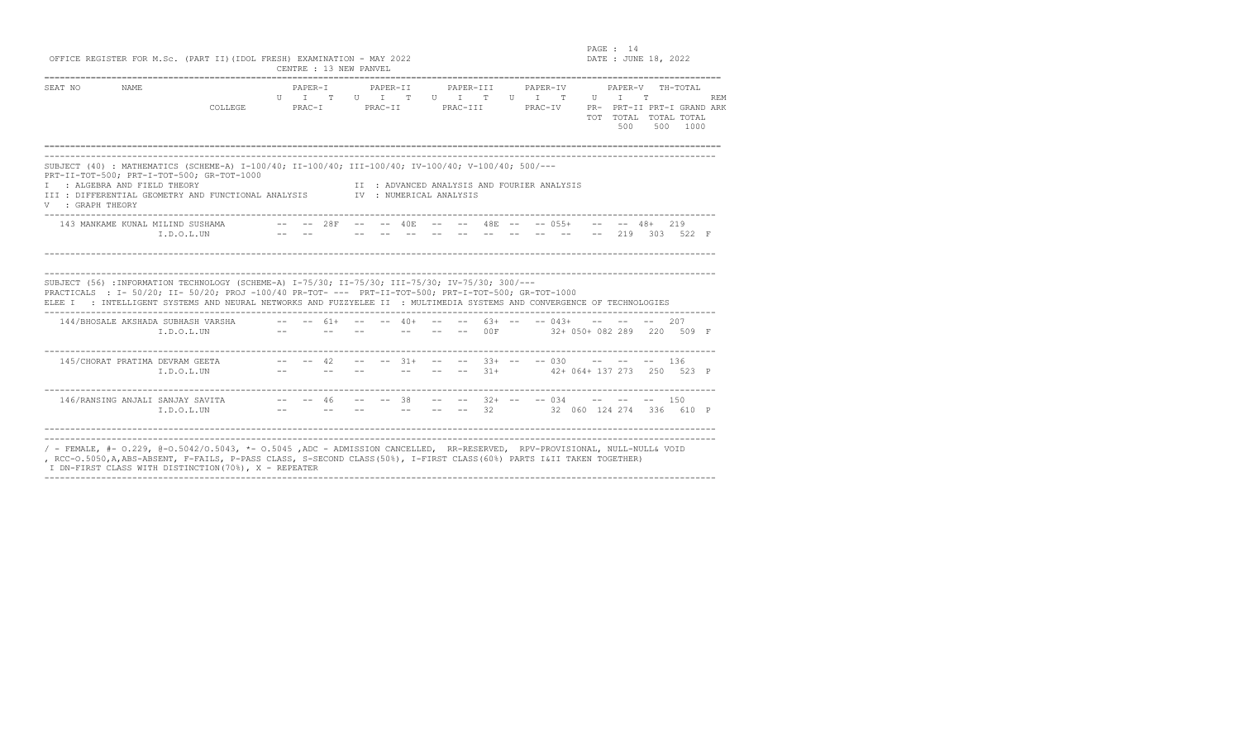PAGE : 14  $DATA: JUNE 18, 2022$ 

| OFFICE REGISTER FOR M.Sc. (PART II) (IDOL FRESH) EXAMINATION - MAY 2022 |  |  |  |                        |  |  |  |  |
|-------------------------------------------------------------------------|--|--|--|------------------------|--|--|--|--|
|                                                                         |  |  |  | CENTRE : 13 NEW PANVEL |  |  |  |  |

| SEAT NO                                          | NAME. | COLLEGE COMM                                                                                                                                                                                                                                                                                                                                                                            | $PAPER-T$<br>UT TUITUITTUITTUITT<br>PRAC-I PRAC-II PRAC-III PRAC-IV            |  | PAPER-TT |                                       | PAPER-TTT PAPER-TV                          |  |  |  | PAPER-V<br>500 | 500 | TH-TOTAL<br>PR- PRT-II PRT-I GRAND ARK<br>TOT TOTAL TOTAL TOTAL<br>1000        | <b>REM</b> |
|--------------------------------------------------|-------|-----------------------------------------------------------------------------------------------------------------------------------------------------------------------------------------------------------------------------------------------------------------------------------------------------------------------------------------------------------------------------------------|--------------------------------------------------------------------------------|--|----------|---------------------------------------|---------------------------------------------|--|--|--|----------------|-----|--------------------------------------------------------------------------------|------------|
| I : ALGEBRA AND FIELD THEORY<br>V : GRAPH THEORY |       | SUBJECT (40): MATHEMATICS (SCHEME-A) I-100/40; II-100/40; III-100/40; IV-100/40; V-100/40; 500/---<br>PRT-II-TOT-500; PRT-I-TOT-500; GR-TOT-1000<br>III : DIFFERENTIAL GEOMETRY AND FUNCTIONAL ANALYSIS TV : NUMERICAL ANALYSIS                                                                                                                                                         |                                                                                |  |          |                                       | II : ADVANCED ANALYSIS AND FOURIER ANALYSIS |  |  |  |                |     |                                                                                |            |
|                                                  |       | I.D.O.L.UN                                                                                                                                                                                                                                                                                                                                                                              |                                                                                |  |          |                                       |                                             |  |  |  |                |     | -- -- -- -- -- -- -- -- 219 303 522 F                                          |            |
|                                                  |       |                                                                                                                                                                                                                                                                                                                                                                                         |                                                                                |  |          |                                       |                                             |  |  |  |                |     |                                                                                |            |
|                                                  |       | SUBJECT (56) : INFORMATION TECHNOLOGY (SCHEME-A) I-75/30; II-75/30; III-75/30; IV-75/30; 300/---<br>PRACTICALS : I- 50/20; II- 50/20; PROJ -100/40 PR-TOT- --- PRT-II-TOT-500; PRT-I-TOT-500; GR-TOT-1000<br>ELEE I : INTELLIGENT SYSTEMS AND NEURAL NETWORKS AND FUZZYELEE II : MULTIMEDIA SYSTEMS AND CONVERGENCE OF TECHNOLOGIES<br>144/BHOSALE AKSHADA SUBHASH VARSHA<br>I.D.O.L.UN | $ -$ 61+ $ -$ 40+ $ -$ 63+ $ -$ 043+ $    -$ 207<br>the company of the company |  |          | where the contract of the contract of |                                             |  |  |  |                |     | -- -- 00F 32+ 050+ 082 289 220 509 F                                           |            |
|                                                  |       | $T.D.O.I.$ UN                                                                                                                                                                                                                                                                                                                                                                           |                                                                                |  |          |                                       |                                             |  |  |  |                |     | --    --    --    --    --    --    31+    42+ 064+ 137 273    250    523    P |            |

I DN-FIRST CLASS WITH DISTINCTION(70%), X - REPEATER ----------------------------------------------------------------------------------------------------------------------------------